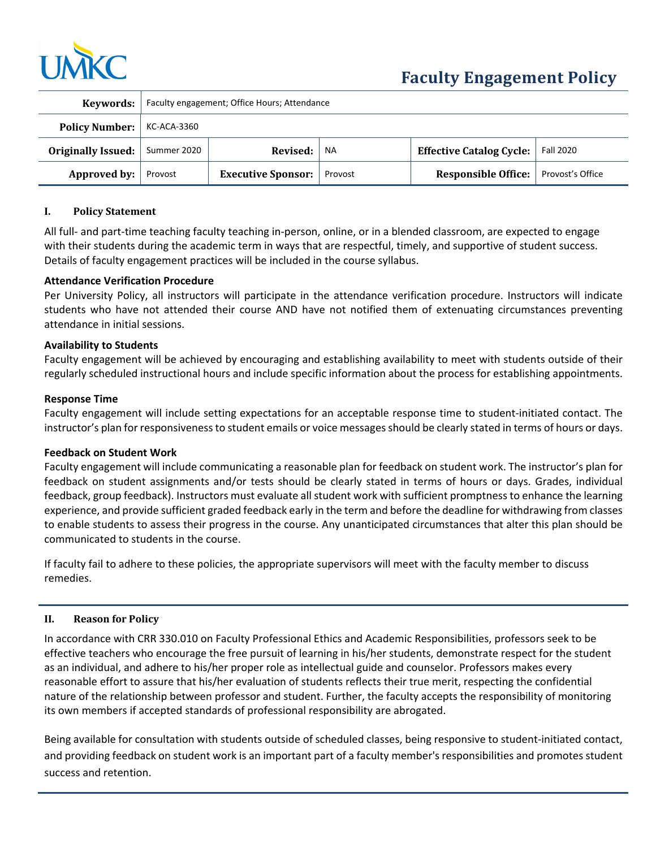

| Keywords:             | Faculty engagement; Office Hours; Attendance |                           |           |                                 |                  |
|-----------------------|----------------------------------------------|---------------------------|-----------|---------------------------------|------------------|
| <b>Policy Number:</b> | KC-ACA-3360                                  |                           |           |                                 |                  |
| Originally Issued:    | Summer 2020                                  | Revised:                  | <b>NA</b> | <b>Effective Catalog Cycle:</b> | <b>Fall 2020</b> |
| Approved by:          | Provost                                      | <b>Executive Sponsor:</b> | Provost   | <b>Responsible Office:</b>      | Provost's Office |

### **I. Policy Statement**

All full- and part-time teaching faculty teaching in-person, online, or in a blended classroom, are expected to engage with their students during the academic term in ways that are respectful, timely, and supportive of student success. Details of faculty engagement practices will be included in the course syllabus.

### **Attendance Verification Procedure**

Per University Policy, all instructors will participate in the attendance verification procedure. Instructors will indicate students who have not attended their course AND have not notified them of extenuating circumstances preventing attendance in initial sessions.

### **Availability to Students**

Faculty engagement will be achieved by encouraging and establishing availability to meet with students outside of their regularly scheduled instructional hours and include specific information about the process for establishing appointments.

### **Response Time**

Faculty engagement will include setting expectations for an acceptable response time to student‐initiated contact. The instructor's plan for responsiveness to student emails or voice messages should be clearly stated in terms of hours or days.

### **Feedback on Student Work**

Faculty engagement will include communicating a reasonable plan for feedback on student work. The instructor's plan for feedback on student assignments and/or tests should be clearly stated in terms of hours or days. Grades, individual feedback, group feedback). Instructors must evaluate all student work with sufficient promptness to enhance the learning experience, and provide sufficient graded feedback early in the term and before the deadline for withdrawing from classes to enable students to assess their progress in the course. Any unanticipated circumstances that alter this plan should be communicated to students in the course.

If faculty fail to adhere to these policies, the appropriate supervisors will meet with the faculty member to discuss remedies.

### **II. Reason for Policy**

In accordance with CRR 330.010 on Faculty Professional Ethics and Academic Responsibilities, professors seek to be effective teachers who encourage the free pursuit of learning in his/her students, demonstrate respect for the student as an individual, and adhere to his/her proper role as intellectual guide and counselor. Professors makes every reasonable effort to assure that his/her evaluation of students reflects their true merit, respecting the confidential nature of the relationship between professor and student. Further, the faculty accepts the responsibility of monitoring its own members if accepted standards of professional responsibility are abrogated.

Being available for consultation with students outside of scheduled classes, being responsive to student‐initiated contact, and providing feedback on student work is an important part of a faculty member's responsibilities and promotes student success and retention.